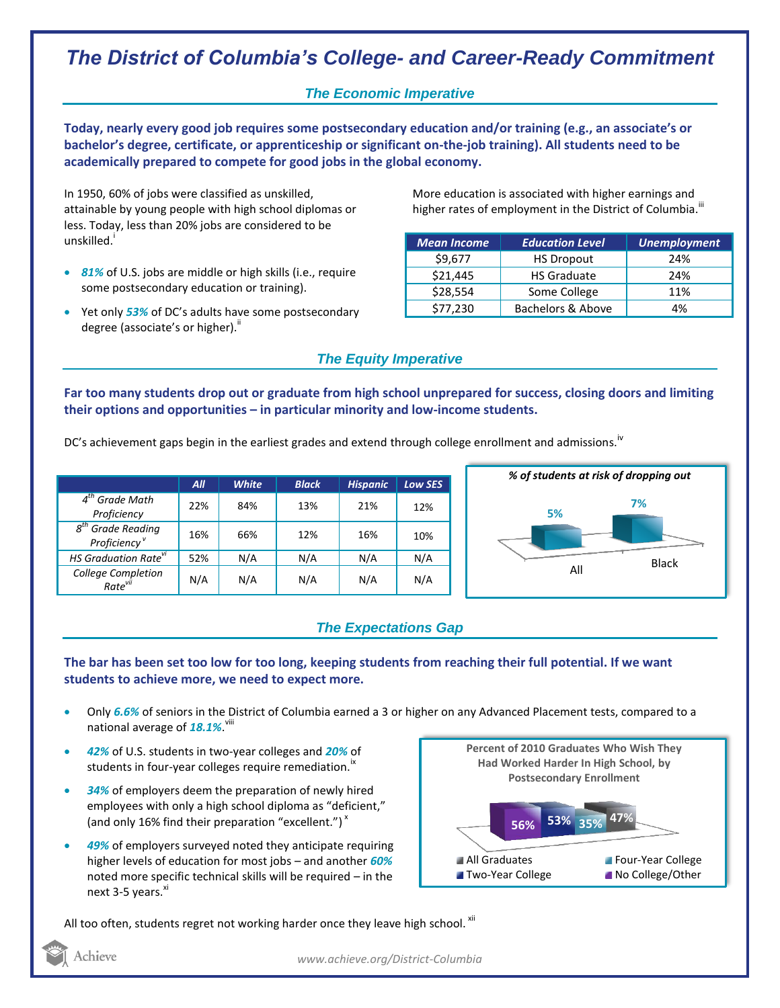# *The District of Columbia's College- and Career-Ready Commitment*

## *The Economic Imperative*

**Today, nearly every good job requires some postsecondary education and/or training (e.g., an associate's or bachelor's degree, certificate, or apprenticeship or significant on-the-job training). All students need to be academically prepared to compete for good jobs in the global economy.**

In 1950, 60% of jobs were classified as unskilled, attainable by young people with high school diplomas or less. Today, less than 20% jobs are considered to be unskilled.<sup>i</sup>

- *81%* of U.S. jobs are middle or high skills (i.e., require some postsecondary education or training).
- Yet only *53%* of DC's adults have some postsecondary degree (associate's or higher)."

More education is associated with higher earnings and higher rates of employment in the District of Columbia. $^{\text{III}}$ 

| <b>Mean Income</b> | <b>Education Level</b> | <b>Unemployment</b> |
|--------------------|------------------------|---------------------|
| \$9,677            | <b>HS Dropout</b>      | 24%                 |
| \$21,445           | <b>HS Graduate</b>     | 24%                 |
| \$28,554           | Some College           | 11%                 |
| \$77,230           | Bachelors & Above      | 4%                  |

### *The Equity Imperative*

**Far too many students drop out or graduate from high school unprepared for success, closing doors and limiting their options and opportunities – in particular minority and low-income students.** 

DC's achievement gaps begin in the earliest grades and extend through college enrollment and admissions.<sup>iv</sup>

|                                                              | All | <b>White</b> | <b>Black</b> | <b>Hispanic</b> | <b>Low SES</b> |
|--------------------------------------------------------------|-----|--------------|--------------|-----------------|----------------|
| $4th$ Grade Math<br>Proficiency                              | 22% | 84%          | 13%          | 21%             | 12%            |
| <b>Grade Reading</b><br>$g^{tn}$<br>Proficiency <sup>v</sup> | 16% | 66%          | 12%          | 16%             | 10%            |
| HS Graduation Rate <sup>vi</sup>                             | 52% | N/A          | N/A          | N/A             | N/A            |
| College Completion<br>Rate <sup>vii</sup>                    | N/A | N/A          | N/A          | N/A             | N/A            |



## *The Expectations Gap*

#### **The bar has been set too low for too long, keeping students from reaching their full potential. If we want students to achieve more, we need to expect more.**

- Only *6.6%* of seniors in the District of Columbia earned a 3 or higher on any Advanced Placement tests, compared to a national average of **18.1%**. <sup>viii</sup>
- *42%* of U.S. students in two-year colleges and *20%* of students in four-year colleges require remediation.<sup>18</sup>
- *34%* of employers deem the preparation of newly hired employees with only a high school diploma as "deficient," (and only 16% find their preparation "excellent.") $^{\star}$
- *49%* of employers surveyed noted they anticipate requiring higher levels of education for most jobs – and another *60%* noted more specific technical skills will be required – in the next 3-5 years.<sup>xi</sup>



All too often, students regret not working harder once they leave high school. xii

Achieve

*www.achieve.org/District-Columbia*